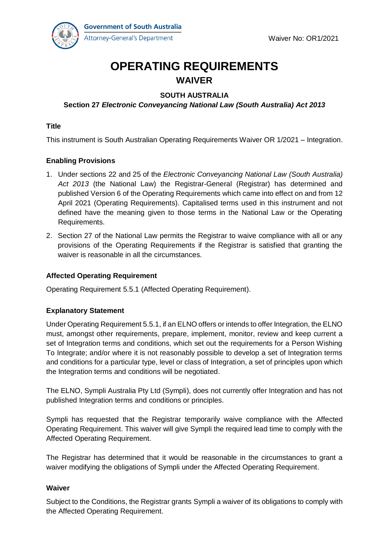

# **OPERATING REQUIREMENTS WAIVER**

# **SOUTH AUSTRALIA**

# **Section 27** *Electronic Conveyancing National Law (South Australia) Act 2013*

# **Title**

This instrument is South Australian Operating Requirements Waiver OR 1/2021 – Integration.

# **Enabling Provisions**

- 1. Under sections 22 and 25 of the *Electronic Conveyancing National Law (South Australia) Act 2013* (the National Law) the Registrar-General (Registrar) has determined and published Version 6 of the Operating Requirements which came into effect on and from 12 April 2021 (Operating Requirements). Capitalised terms used in this instrument and not defined have the meaning given to those terms in the National Law or the Operating Requirements.
- 2. Section 27 of the National Law permits the Registrar to waive compliance with all or any provisions of the Operating Requirements if the Registrar is satisfied that granting the waiver is reasonable in all the circumstances.

#### **Affected Operating Requirement**

Operating Requirement 5.5.1 (Affected Operating Requirement).

#### **Explanatory Statement**

Under Operating Requirement 5.5.1, if an ELNO offers or intends to offer Integration, the ELNO must, amongst other requirements, prepare, implement, monitor, review and keep current a set of Integration terms and conditions, which set out the requirements for a Person Wishing To Integrate; and/or where it is not reasonably possible to develop a set of Integration terms and conditions for a particular type, level or class of Integration, a set of principles upon which the Integration terms and conditions will be negotiated.

The ELNO, Sympli Australia Pty Ltd (Sympli), does not currently offer Integration and has not published Integration terms and conditions or principles.

Sympli has requested that the Registrar temporarily waive compliance with the Affected Operating Requirement. This waiver will give Sympli the required lead time to comply with the Affected Operating Requirement.

The Registrar has determined that it would be reasonable in the circumstances to grant a waiver modifying the obligations of Sympli under the Affected Operating Requirement.

#### **Waiver**

Subject to the Conditions, the Registrar grants Sympli a waiver of its obligations to comply with the Affected Operating Requirement.